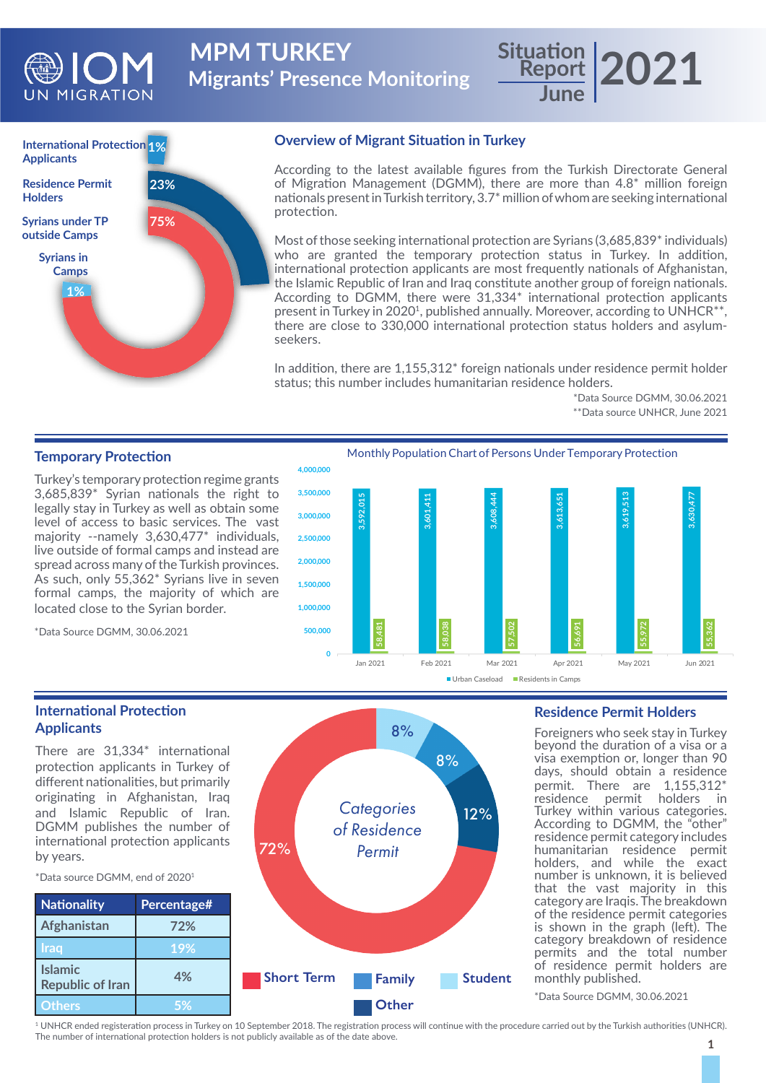

**Migrants' Presence Monitoring MPM TURKEY** 

# **Report June 2021**



### **Overview of Migrant Situation in Turkey**

According to the latest available figures from the Turkish Directorate General of Migration Management (DGMM), there are more than 4.8\* million foreign nationals present in Turkish territory, 3.7\* million of whom are seeking international protection.

Most of those seeking international protection are Syrians (3,685,839<sup>\*</sup> individuals) who are granted the temporary protection status in Turkey. In addition, international protection applicants are most frequently nationals of Afghanistan, the Islamic Republic of Iran and Iraq constitute another group of foreign nationals. According to DGMM, there were 31,334\* international protection applicants present in Turkey in 2020<sup>1</sup>, published annually. Moreover, according to UNHCR<sup>\*\*</sup>, there are close to 330,000 international protection status holders and asylumseekers.

In addition, there are 1,155,312\* foreign nationals under residence permit holder status; this number includes humanitarian residence holders.

> \*Data Source DGMM, 30.06.2021 \*\*Data source UNHCR, June 2021

## **Temporary Protection**

Turkey's temporary protection regime grants 3,685,839\* Syrian nationals the right to legally stay in Turkey as well as obtain some level of access to basic services. The vast majority --namely 3,630,477\* individuals, live outside of formal camps and instead are spread across many of the Turkish provinces. As such, only 55,362\* Syrians live in seven formal camps, the majority of which are located close to the Syrian border.

\*Data Source DGMM, 30.06.2021



#### **International Protection Applicants**

There are 31,334\* international protection applicants in Turkey of different nationalities, but primarily originating in Afghanistan, Iraq and Islamic Republic of Iran. DGMM publishes the number of international protection applicants by years.

\*Data source DGMM, end of 20201

**Islamic** 



#### **Residence Permit Holders**

Foreigners who seek stay in Turkey beyond the duration of a visa or a visa exemption or, longer than 90 days, should obtain a residence permit. There are 1,155,312\* residence permit holders in Turkey within various categories. According to DGMM, the "other" residence permit category includes humanitarian residence permit holders, and while the exact number is unknown, it is believed that the vast majority in this category are Iraqis. The breakdown of the residence permit categories is shown in the graph (left). The category breakdown of residence permits and the total number of residence permit holders are monthly published.

\*Data Source DGMM, 30.06.2021

1 UNHCR ended registeration process in Turkey on 10 September 2018. The registration process will continue with the procedure carried out by the Turkish authorities (UNHCR). The number of international protection holders is not publicly available as of the date above.